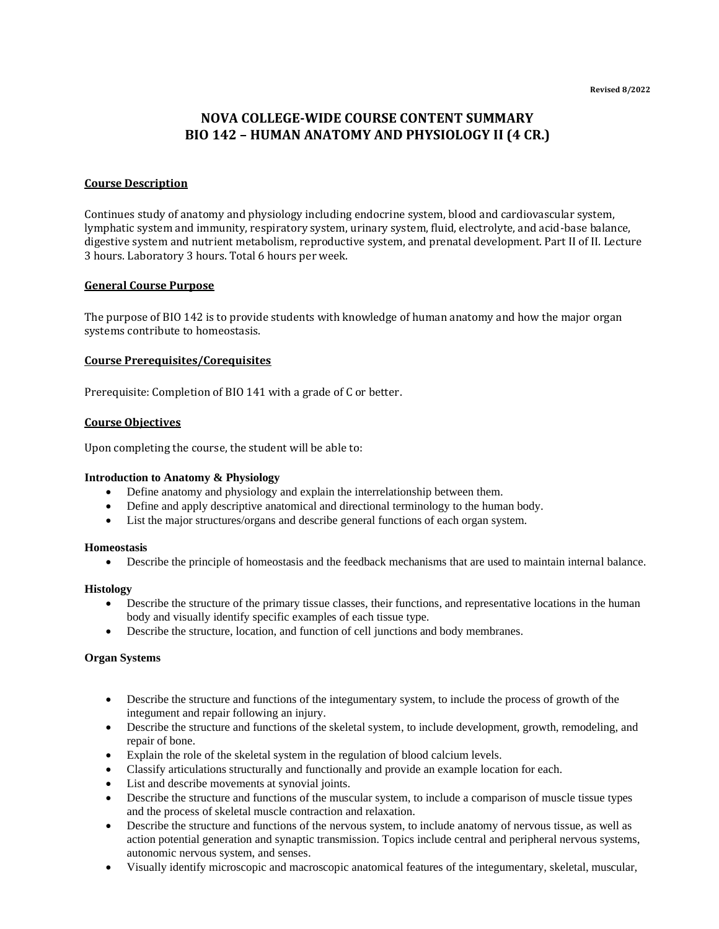# **NOVA COLLEGE-WIDE COURSE CONTENT SUMMARY BIO 142 – HUMAN ANATOMY AND PHYSIOLOGY II (4 CR.)**

# **Course Description**

Continues study of anatomy and physiology including endocrine system, blood and cardiovascular system, lymphatic system and immunity, respiratory system, urinary system, fluid, electrolyte, and acid-base balance, digestive system and nutrient metabolism, reproductive system, and prenatal development. Part II of II. Lecture 3 hours. Laboratory 3 hours. Total 6 hours per week.

## **General Course Purpose**

The purpose of BIO 142 is to provide students with knowledge of human anatomy and how the major organ systems contribute to homeostasis.

## **Course Prerequisites/Corequisites**

Prerequisite: Completion of BIO 141 with a grade of C or better.

## **Course Objectives**

Upon completing the course, the student will be able to:

#### **Introduction to Anatomy & Physiology**

- Define anatomy and physiology and explain the interrelationship between them.
- Define and apply descriptive anatomical and directional terminology to the human body.
- List the major structures/organs and describe general functions of each organ system.

#### **Homeostasis**

• Describe the principle of homeostasis and the feedback mechanisms that are used to maintain internal balance.

#### **Histology**

- Describe the structure of the primary tissue classes, their functions, and representative locations in the human body and visually identify specific examples of each tissue type.
- Describe the structure, location, and function of cell junctions and body membranes.

### **Organ Systems**

- Describe the structure and functions of the integumentary system, to include the process of growth of the integument and repair following an injury.
- Describe the structure and functions of the skeletal system, to include development, growth, remodeling, and repair of bone.
- Explain the role of the skeletal system in the regulation of blood calcium levels.
- Classify articulations structurally and functionally and provide an example location for each.
- List and describe movements at synovial joints.
- Describe the structure and functions of the muscular system, to include a comparison of muscle tissue types and the process of skeletal muscle contraction and relaxation.
- Describe the structure and functions of the nervous system, to include anatomy of nervous tissue, as well as action potential generation and synaptic transmission. Topics include central and peripheral nervous systems, autonomic nervous system, and senses.
- Visually identify microscopic and macroscopic anatomical features of the integumentary, skeletal, muscular,